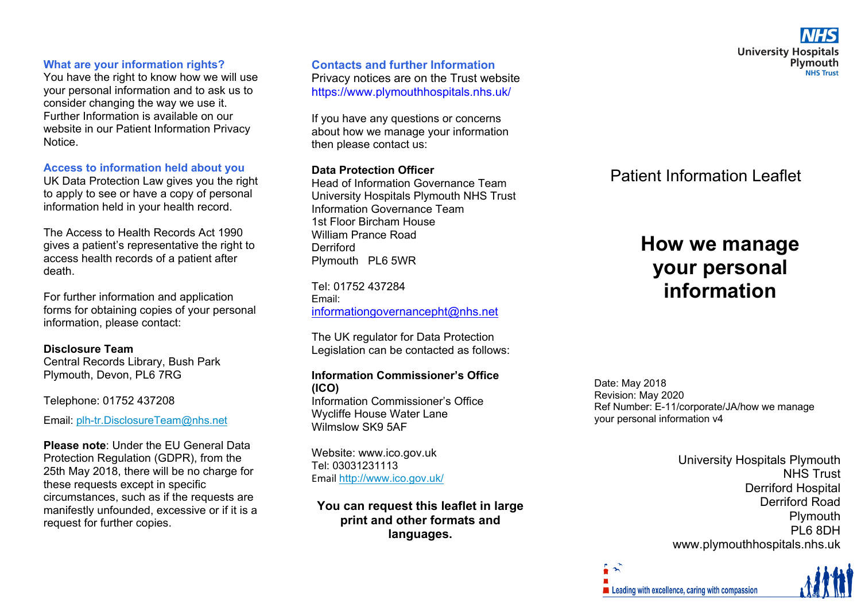# **What are your information rights?**

You have the right to know how we will use your personal information and to ask us to consider changing the way we use it. Further Information is available on our website in our Patient Information Privacy Notice.

#### **Access to information held about you**

UK Data Protection Law gives you the right to apply to see or have a copy of personal information held in your health record.

The Access to Health Records Act 1990 gives a patient's representative the right to access health records of a patient after death.

For further information and application forms for obtaining copies of your personal information, please contact:

# **Disclosure Team**

Central Records Library, Bush Park Plymouth, Devon, PL6 7RG

Telephone: 01752 437208

Email: plh-tr.DisclosureTeam@nhs.net

**Please note**: Under the EU General Data Protection Regulation (GDPR), from the 25th May 2018, there will be no charge for these requests except in specific circumstances, such as if the requests are manifestly unfounded, excessive or if it is a request for further copies.

**Contacts and further Information** Privacy notices are on the Trust website https://www.plymouthhospitals.nhs.uk/

If you have any questions or concerns about how we manage your information then please contact us:

# **Data Protection Officer**

Head of Information Governance Team University Hospitals Plymouth NHS Trust Information Governance Team 1st Floor Bircham House William Prance Road **Derriford** Plymouth PL6 5WR

Tel: 01752 437284 Email: informationgovernancepht@nhs.net

The UK regulator for Data Protection Legislation can be contacted as follows:

#### **Information Commissioner's Office (ICO)**

Information Commissioner's Office Wycliffe House Water Lane Wilmslow SK9 5AF

Website: www.ico.gov.uk Tel: 03031231113 Email <u>http://www.ico.gov.uk/</u>

**You can request this leaflet in large print and other formats and languages.** 

Patient Information Leaflet

# **How we manage your personal information**

Date: May 2018 Revision: May 2020 Ref Number: E-11/corporate/JA/how we manage your personal information v4

> University Hospitals Plymouth NHS Trust Derriford Hospital Derriford Road **Plymouth** PL6 8DH www.plymouthhospitals.nhs.uk

Leading with excellence, caring with compassion

 $\hat{r}$